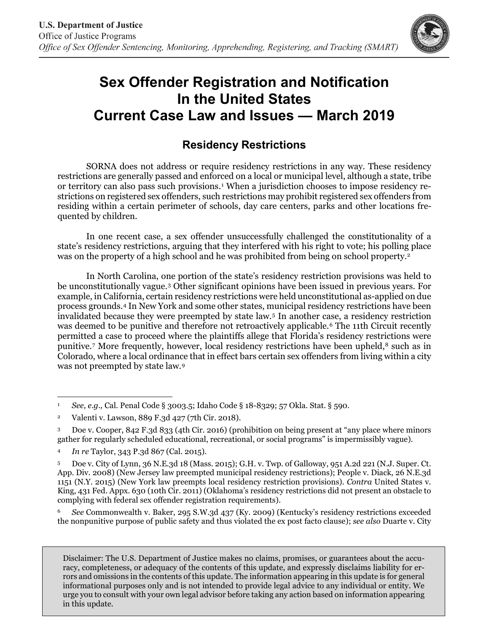

## **Sex Offender Registration and Notification In the United States Current Case Law and Issues — March 2019**

## **Residency Restrictions**

SORNA does not address or require residency restrictions in any way. These residency restrictions are generally passed and enforced on a local or municipal level, although a state, tribe or territory can also pass such provisions.[1](#page-0-0) When a jurisdiction chooses to impose residency restrictions on registered sex offenders, such restrictions may prohibit registered sex offenders from residing within a certain perimeter of schools, day care centers, parks and other locations frequented by children.

In one recent case, a sex offender unsuccessfully challenged the constitutionality of a state's residency restrictions, arguing that they interfered with his right to vote; his polling place was on the property of a high school and he was prohibited from being on school property.<sup>[2](#page-0-1)</sup>

In North Carolina, one portion of the state's residency restriction provisions was held to be unconstitutionally vague.[3](#page-0-2) Other significant opinions have been issued in previous years. For example, in California, certain residency restrictions were held unconstitutional as-applied on due process grounds.[4](#page-0-3) In New York and some other states, municipal residency restrictions have been invalidated because they were preempted by state law.[5](#page-0-4) In another case, a residency restriction was deemed to be punitive and therefore not retroactively applicable.<sup>[6](#page-0-5)</sup> The 11th Circuit recently permitted a case to proceed where the plaintiffs allege that Florida's residency restrictions were punitive.<sup>[7](#page-1-0)</sup> More frequently, however, local residency restrictions have been upheld,<sup>8</sup> such as in Colorado, where a local ordinance that in effect bars certain sex offenders from living within a city was not preempted by state law.[9](#page-1-2)

<span id="page-0-5"></span><sup>6</sup> *See* Commonwealth v. Baker, 295 S.W.3d 437 (Ky. 2009) (Kentucky's residency restrictions exceeded the nonpunitive purpose of public safety and thus violated the ex post facto clause); *see also* Duarte v. City

Disclaimer: The U.S. Department of Justice makes no claims, promises, or guarantees about the accuracy, completeness, or adequacy of the contents of this update, and expressly disclaims liability for errors and omissions in the contents of this update. The information appearing in this update is for general informational purposes only and is not intended to provide legal advice to any individual or entity. We urge you to consult with your own legal advisor before taking any action based on information appearing in this update.

<span id="page-0-0"></span><sup>1</sup> *See, e.g.,* Cal. Penal Code § 3003.5; Idaho Code § 18-8329; 57 Okla. Stat. § 590. 1

<span id="page-0-1"></span><sup>2</sup> Valenti v. Lawson, 889 F.3d 427 (7th Cir. 2018).

<span id="page-0-2"></span><sup>3</sup> Doe v. Cooper, 842 F.3d 833 (4th Cir. 2016) (prohibition on being present at "any place where minors gather for regularly scheduled educational, recreational, or social programs" is impermissibly vague).

<span id="page-0-3"></span><sup>4</sup> *In re* Taylor, 343 P.3d 867 (Cal. 2015).

<span id="page-0-4"></span><sup>5</sup> Doe v. City of Lynn, 36 N.E.3d 18 (Mass. 2015); G.H. v. Twp. of Galloway, 951 A.2d 221 (N.J. Super. Ct. App. Div. 2008) (New Jersey law preempted municipal residency restrictions); People v. Diack, 26 N.E.3d 1151 (N.Y. 2015) (New York law preempts local residency restriction provisions). *Contra* United States v. King, 431 Fed. Appx. 630 (10th Cir. 2011) (Oklahoma's residency restrictions did not present an obstacle to complying with federal sex offender registration requirements).